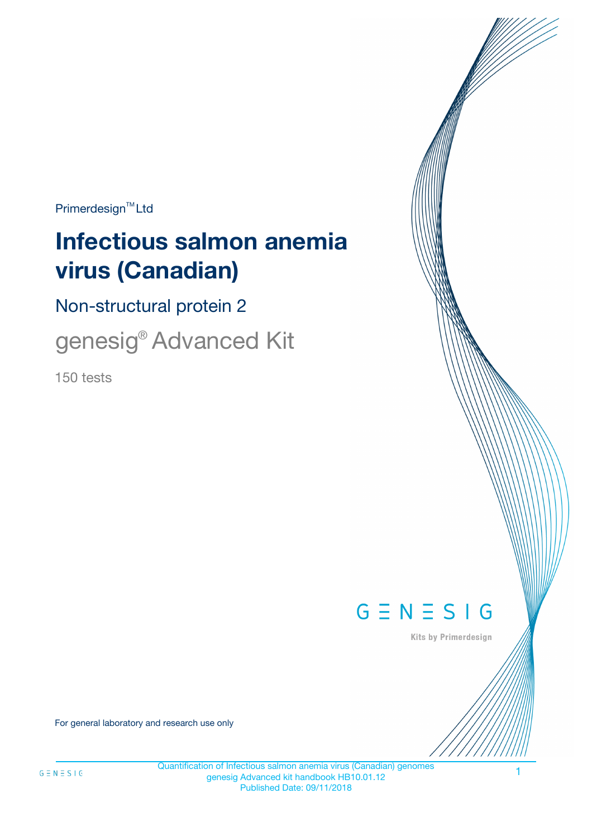$Primerdesign^{\text{TM}}Ltd$ 

# **Infectious salmon anemia virus (Canadian)**

Non-structural protein 2

genesig® Advanced Kit

150 tests



Kits by Primerdesign

For general laboratory and research use only

Quantification of Infectious salmon anemia virus (Canadian) genomes genesig Advanced kit handbook HB10.01.12 Published Date: 09/11/2018

1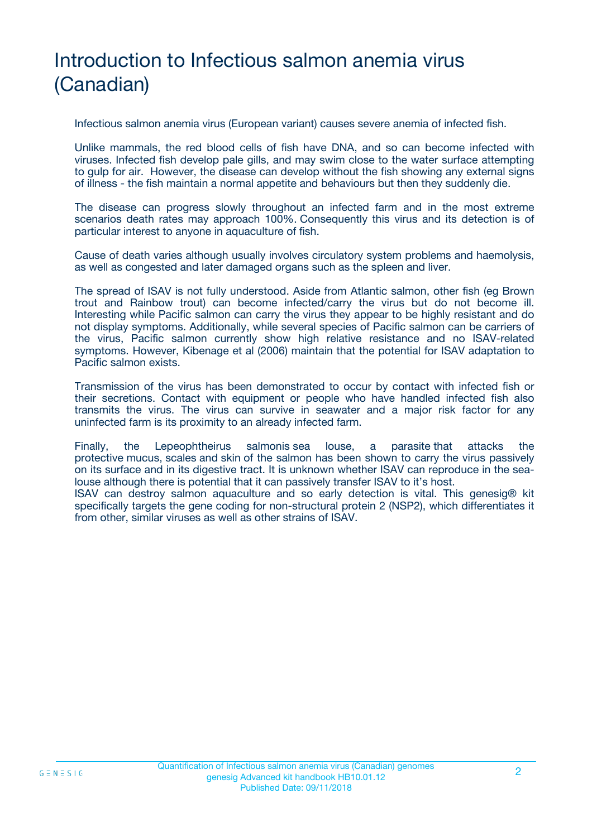# Introduction to Infectious salmon anemia virus (Canadian)

Infectious salmon anemia virus (European variant) causes severe anemia of infected fish.

Unlike mammals, the red blood cells of fish have DNA, and so can become infected with viruses. Infected fish develop pale gills, and may swim close to the water surface attempting to gulp for air. However, the disease can develop without the fish showing any external signs of illness - the fish maintain a normal appetite and behaviours but then they suddenly die.

The disease can progress slowly throughout an infected farm and in the most extreme scenarios death rates may approach 100%. Consequently this virus and its detection is of particular interest to anyone in aquaculture of fish.

Cause of death varies although usually involves circulatory system problems and haemolysis, as well as congested and later damaged organs such as the spleen and liver.

The spread of ISAV is not fully understood. Aside from Atlantic salmon, other fish (eg Brown trout and Rainbow trout) can become infected/carry the virus but do not become ill. Interesting while Pacific salmon can carry the virus they appear to be highly resistant and do not display symptoms. Additionally, while several species of Pacific salmon can be carriers of the virus, Pacific salmon currently show high relative resistance and no ISAV-related symptoms. However, Kibenage et al (2006) maintain that the potential for ISAV adaptation to Pacific salmon exists.

Transmission of the virus has been demonstrated to occur by contact with infected fish or their secretions. Contact with equipment or people who have handled infected fish also transmits the virus. The virus can survive in seawater and a major risk factor for any uninfected farm is its proximity to an already infected farm.

Finally, the Lepeophtheirus salmonis sea louse, a parasite that attacks the protective mucus, scales and skin of the salmon has been shown to carry the virus passively on its surface and in its digestive tract. It is unknown whether ISAV can reproduce in the sealouse although there is potential that it can passively transfer ISAV to it's host.

ISAV can destroy salmon aquaculture and so early detection is vital. This genesig® kit specifically targets the gene coding for non-structural protein 2 (NSP2), which differentiates it from other, similar viruses as well as other strains of ISAV.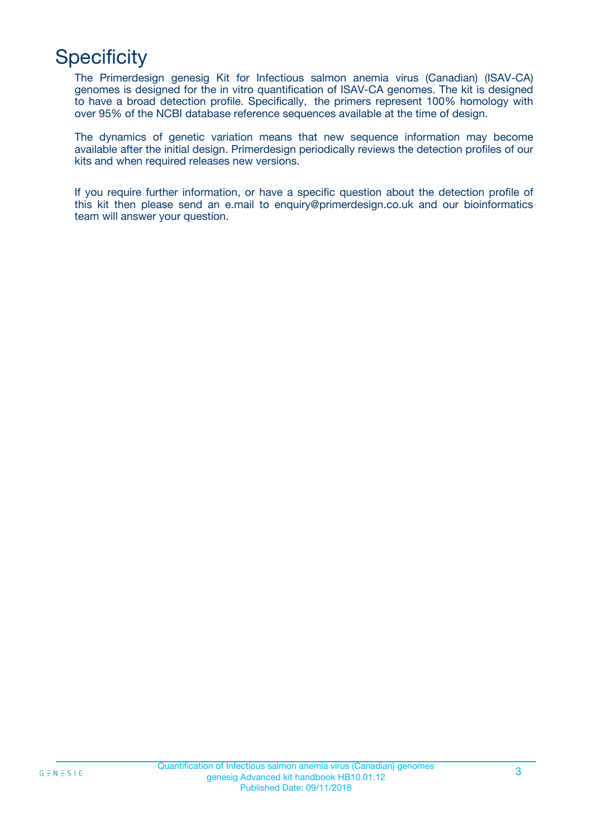# **Specificity**

The Primerdesign genesig Kit for Infectious salmon anemia virus (Canadian) (ISAV-CA) genomes is designed for the in vitro quantification of ISAV-CA genomes. The kit is designed to have a broad detection profile. Specifically, the primers represent 100% homology with over 95% of the NCBI database reference sequences available at the time of design.

The dynamics of genetic variation means that new sequence information may become available after the initial design. Primerdesign periodically reviews the detection profiles of our kits and when required releases new versions.

If you require further information, or have a specific question about the detection profile of this kit then please send an e.mail to enquiry@primerdesign.co.uk and our bioinformatics team will answer your question.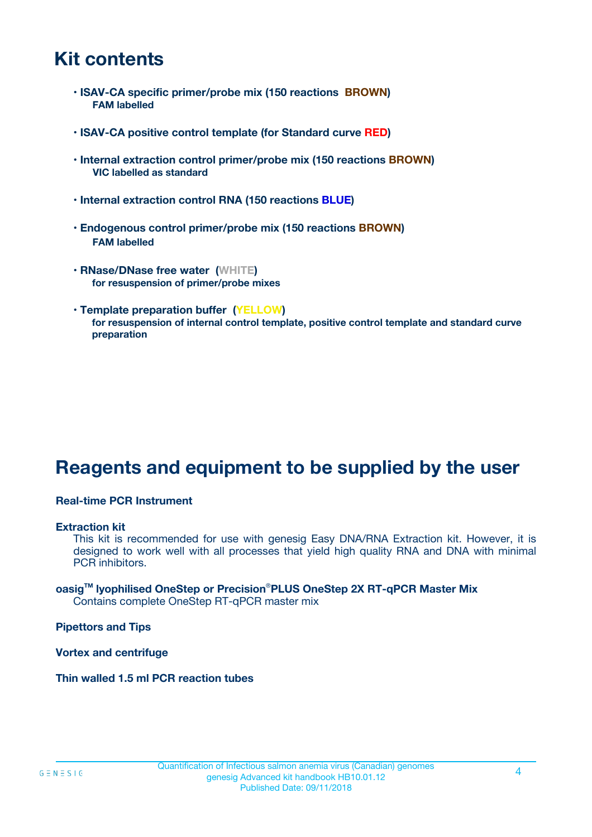### **Kit contents**

- **ISAV-CA specific primer/probe mix (150 reactions BROWN) FAM labelled**
- **ISAV-CA positive control template (for Standard curve RED)**
- **Internal extraction control primer/probe mix (150 reactions BROWN) VIC labelled as standard**
- **Internal extraction control RNA (150 reactions BLUE)**
- **Endogenous control primer/probe mix (150 reactions BROWN) FAM labelled**
- **RNase/DNase free water (WHITE) for resuspension of primer/probe mixes**
- **Template preparation buffer (YELLOW) for resuspension of internal control template, positive control template and standard curve preparation**

# **Reagents and equipment to be supplied by the user**

#### **Real-time PCR Instrument**

#### **Extraction kit**

This kit is recommended for use with genesig Easy DNA/RNA Extraction kit. However, it is designed to work well with all processes that yield high quality RNA and DNA with minimal PCR inhibitors.

#### **oasigTM lyophilised OneStep or Precision**®**PLUS OneStep 2X RT-qPCR Master Mix** Contains complete OneStep RT-qPCR master mix

**Pipettors and Tips**

**Vortex and centrifuge**

**Thin walled 1.5 ml PCR reaction tubes**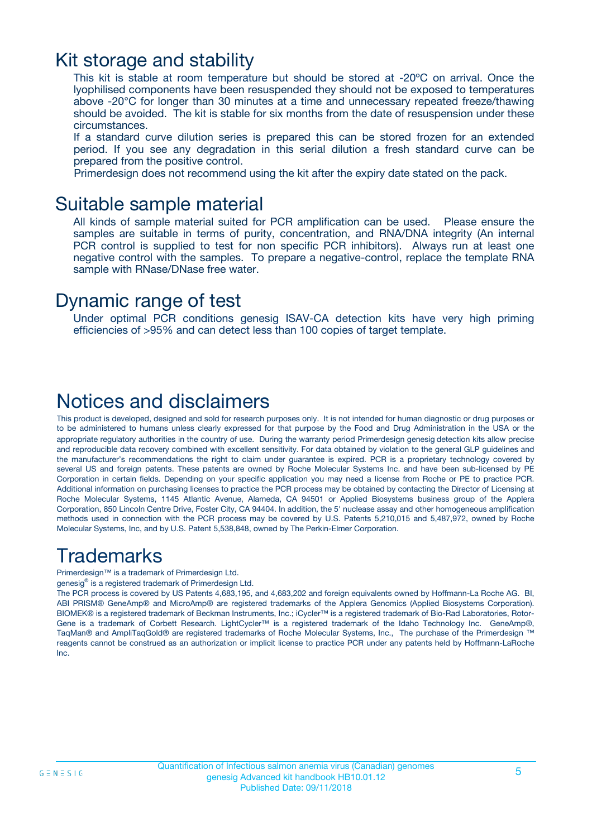### Kit storage and stability

This kit is stable at room temperature but should be stored at -20ºC on arrival. Once the lyophilised components have been resuspended they should not be exposed to temperatures above -20°C for longer than 30 minutes at a time and unnecessary repeated freeze/thawing should be avoided. The kit is stable for six months from the date of resuspension under these circumstances.

If a standard curve dilution series is prepared this can be stored frozen for an extended period. If you see any degradation in this serial dilution a fresh standard curve can be prepared from the positive control.

Primerdesign does not recommend using the kit after the expiry date stated on the pack.

### Suitable sample material

All kinds of sample material suited for PCR amplification can be used. Please ensure the samples are suitable in terms of purity, concentration, and RNA/DNA integrity (An internal PCR control is supplied to test for non specific PCR inhibitors). Always run at least one negative control with the samples. To prepare a negative-control, replace the template RNA sample with RNase/DNase free water.

### Dynamic range of test

Under optimal PCR conditions genesig ISAV-CA detection kits have very high priming efficiencies of >95% and can detect less than 100 copies of target template.

### Notices and disclaimers

This product is developed, designed and sold for research purposes only. It is not intended for human diagnostic or drug purposes or to be administered to humans unless clearly expressed for that purpose by the Food and Drug Administration in the USA or the appropriate regulatory authorities in the country of use. During the warranty period Primerdesign genesig detection kits allow precise and reproducible data recovery combined with excellent sensitivity. For data obtained by violation to the general GLP guidelines and the manufacturer's recommendations the right to claim under guarantee is expired. PCR is a proprietary technology covered by several US and foreign patents. These patents are owned by Roche Molecular Systems Inc. and have been sub-licensed by PE Corporation in certain fields. Depending on your specific application you may need a license from Roche or PE to practice PCR. Additional information on purchasing licenses to practice the PCR process may be obtained by contacting the Director of Licensing at Roche Molecular Systems, 1145 Atlantic Avenue, Alameda, CA 94501 or Applied Biosystems business group of the Applera Corporation, 850 Lincoln Centre Drive, Foster City, CA 94404. In addition, the 5' nuclease assay and other homogeneous amplification methods used in connection with the PCR process may be covered by U.S. Patents 5,210,015 and 5,487,972, owned by Roche Molecular Systems, Inc, and by U.S. Patent 5,538,848, owned by The Perkin-Elmer Corporation.

### Trademarks

Primerdesign™ is a trademark of Primerdesign Ltd.

genesig® is a registered trademark of Primerdesign Ltd.

The PCR process is covered by US Patents 4,683,195, and 4,683,202 and foreign equivalents owned by Hoffmann-La Roche AG. BI, ABI PRISM® GeneAmp® and MicroAmp® are registered trademarks of the Applera Genomics (Applied Biosystems Corporation). BIOMEK® is a registered trademark of Beckman Instruments, Inc.; iCycler™ is a registered trademark of Bio-Rad Laboratories, Rotor-Gene is a trademark of Corbett Research. LightCycler™ is a registered trademark of the Idaho Technology Inc. GeneAmp®, TaqMan® and AmpliTaqGold® are registered trademarks of Roche Molecular Systems, Inc., The purchase of the Primerdesign ™ reagents cannot be construed as an authorization or implicit license to practice PCR under any patents held by Hoffmann-LaRoche Inc.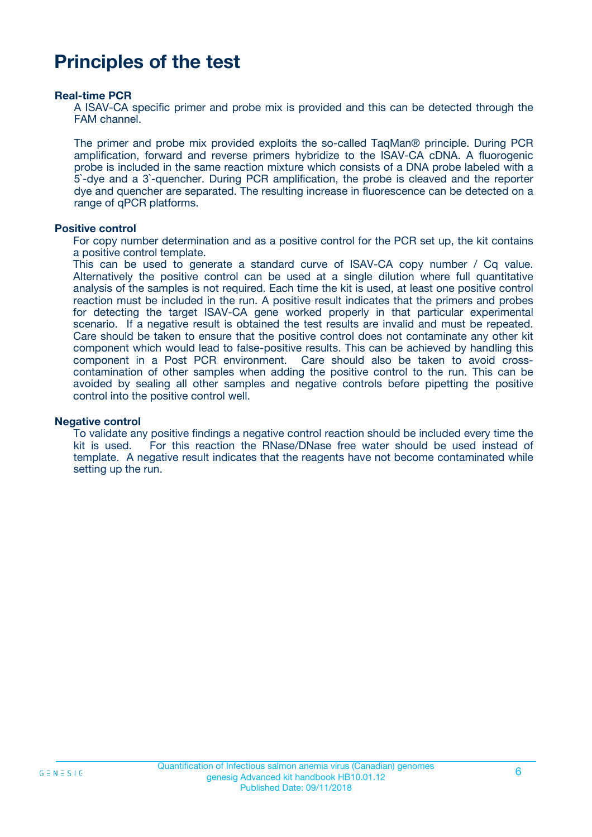## **Principles of the test**

#### **Real-time PCR**

A ISAV-CA specific primer and probe mix is provided and this can be detected through the FAM channel.

The primer and probe mix provided exploits the so-called TaqMan® principle. During PCR amplification, forward and reverse primers hybridize to the ISAV-CA cDNA. A fluorogenic probe is included in the same reaction mixture which consists of a DNA probe labeled with a 5`-dye and a 3`-quencher. During PCR amplification, the probe is cleaved and the reporter dye and quencher are separated. The resulting increase in fluorescence can be detected on a range of qPCR platforms.

#### **Positive control**

For copy number determination and as a positive control for the PCR set up, the kit contains a positive control template.

This can be used to generate a standard curve of ISAV-CA copy number / Cq value. Alternatively the positive control can be used at a single dilution where full quantitative analysis of the samples is not required. Each time the kit is used, at least one positive control reaction must be included in the run. A positive result indicates that the primers and probes for detecting the target ISAV-CA gene worked properly in that particular experimental scenario. If a negative result is obtained the test results are invalid and must be repeated. Care should be taken to ensure that the positive control does not contaminate any other kit component which would lead to false-positive results. This can be achieved by handling this component in a Post PCR environment. Care should also be taken to avoid crosscontamination of other samples when adding the positive control to the run. This can be avoided by sealing all other samples and negative controls before pipetting the positive control into the positive control well.

#### **Negative control**

To validate any positive findings a negative control reaction should be included every time the kit is used. For this reaction the RNase/DNase free water should be used instead of template. A negative result indicates that the reagents have not become contaminated while setting up the run.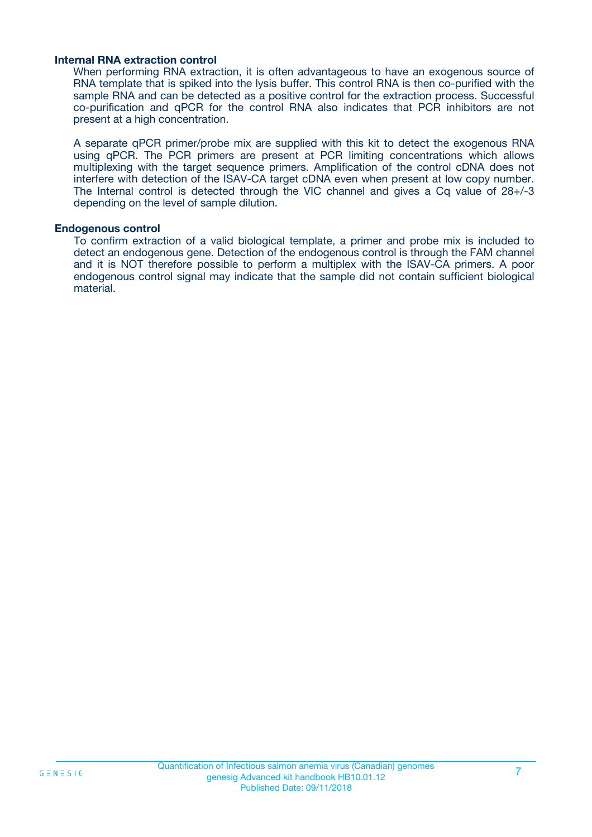#### **Internal RNA extraction control**

When performing RNA extraction, it is often advantageous to have an exogenous source of RNA template that is spiked into the lysis buffer. This control RNA is then co-purified with the sample RNA and can be detected as a positive control for the extraction process. Successful co-purification and qPCR for the control RNA also indicates that PCR inhibitors are not present at a high concentration.

A separate qPCR primer/probe mix are supplied with this kit to detect the exogenous RNA using qPCR. The PCR primers are present at PCR limiting concentrations which allows multiplexing with the target sequence primers. Amplification of the control cDNA does not interfere with detection of the ISAV-CA target cDNA even when present at low copy number. The Internal control is detected through the VIC channel and gives a Cq value of 28+/-3 depending on the level of sample dilution.

#### **Endogenous control**

To confirm extraction of a valid biological template, a primer and probe mix is included to detect an endogenous gene. Detection of the endogenous control is through the FAM channel and it is NOT therefore possible to perform a multiplex with the ISAV-CA primers. A poor endogenous control signal may indicate that the sample did not contain sufficient biological material.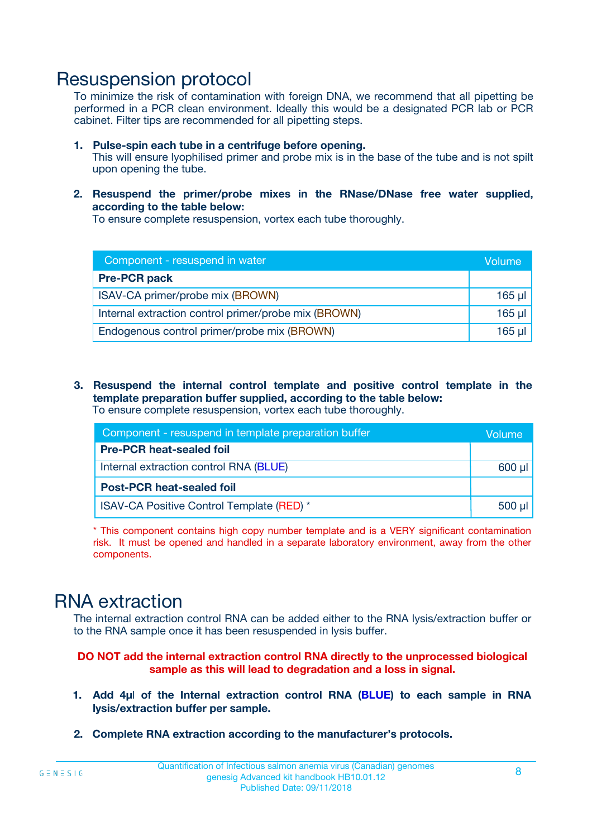### Resuspension protocol

To minimize the risk of contamination with foreign DNA, we recommend that all pipetting be performed in a PCR clean environment. Ideally this would be a designated PCR lab or PCR cabinet. Filter tips are recommended for all pipetting steps.

- **1. Pulse-spin each tube in a centrifuge before opening.** This will ensure lyophilised primer and probe mix is in the base of the tube and is not spilt upon opening the tube.
- **2. Resuspend the primer/probe mixes in the RNase/DNase free water supplied, according to the table below:**

To ensure complete resuspension, vortex each tube thoroughly.

| Component - resuspend in water                       |          |  |
|------------------------------------------------------|----------|--|
| <b>Pre-PCR pack</b>                                  |          |  |
| ISAV-CA primer/probe mix (BROWN)                     | $165$ µl |  |
| Internal extraction control primer/probe mix (BROWN) | $165$ µl |  |
| Endogenous control primer/probe mix (BROWN)          | 165 µl   |  |

**3. Resuspend the internal control template and positive control template in the template preparation buffer supplied, according to the table below:** To ensure complete resuspension, vortex each tube thoroughly.

| Component - resuspend in template preparation buffer |  |  |  |
|------------------------------------------------------|--|--|--|
| <b>Pre-PCR heat-sealed foil</b>                      |  |  |  |
| Internal extraction control RNA (BLUE)               |  |  |  |
| <b>Post-PCR heat-sealed foil</b>                     |  |  |  |
| ISAV-CA Positive Control Template (RED) *            |  |  |  |

\* This component contains high copy number template and is a VERY significant contamination risk. It must be opened and handled in a separate laboratory environment, away from the other components.

### RNA extraction

The internal extraction control RNA can be added either to the RNA lysis/extraction buffer or to the RNA sample once it has been resuspended in lysis buffer.

**DO NOT add the internal extraction control RNA directly to the unprocessed biological sample as this will lead to degradation and a loss in signal.**

- **1. Add 4µ**l **of the Internal extraction control RNA (BLUE) to each sample in RNA lysis/extraction buffer per sample.**
- **2. Complete RNA extraction according to the manufacturer's protocols.**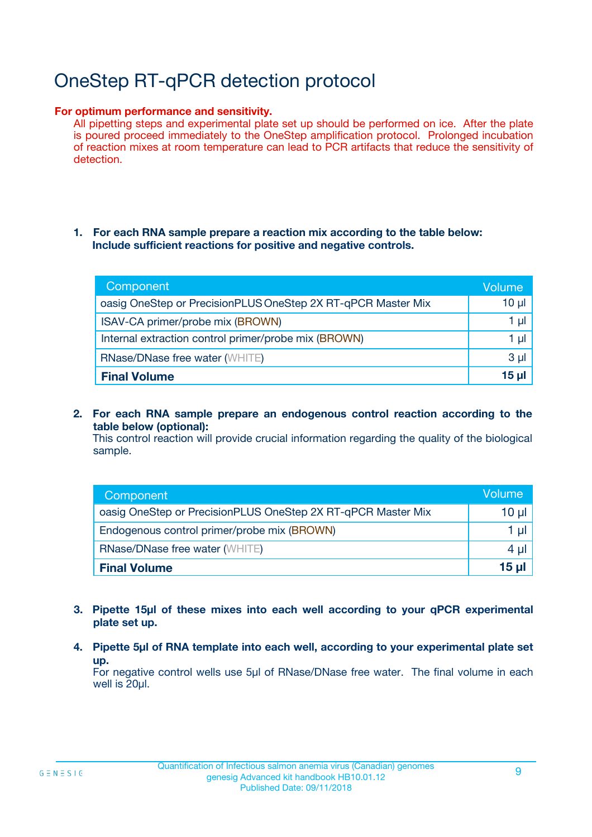# OneStep RT-qPCR detection protocol

#### **For optimum performance and sensitivity.**

All pipetting steps and experimental plate set up should be performed on ice. After the plate is poured proceed immediately to the OneStep amplification protocol. Prolonged incubation of reaction mixes at room temperature can lead to PCR artifacts that reduce the sensitivity of detection.

#### **1. For each RNA sample prepare a reaction mix according to the table below: Include sufficient reactions for positive and negative controls.**

| Component                                                    | Volume   |
|--------------------------------------------------------------|----------|
| oasig OneStep or PrecisionPLUS OneStep 2X RT-qPCR Master Mix | $10 \mu$ |
| ISAV-CA primer/probe mix (BROWN)                             | 1 µl     |
| Internal extraction control primer/probe mix (BROWN)         | 1 µI     |
| <b>RNase/DNase free water (WHITE)</b>                        | $3 \mu$  |
| <b>Final Volume</b>                                          | 15 µl    |

**2. For each RNA sample prepare an endogenous control reaction according to the table below (optional):**

This control reaction will provide crucial information regarding the quality of the biological sample.

| Component                                                    | Volume   |
|--------------------------------------------------------------|----------|
| oasig OneStep or PrecisionPLUS OneStep 2X RT-qPCR Master Mix | 10 $\mu$ |
| Endogenous control primer/probe mix (BROWN)                  | 1 ul     |
| <b>RNase/DNase free water (WHITE)</b>                        | $4 \mu$  |
| <b>Final Volume</b>                                          | 15 µl    |

- **3. Pipette 15µl of these mixes into each well according to your qPCR experimental plate set up.**
- **4. Pipette 5µl of RNA template into each well, according to your experimental plate set up.**

For negative control wells use 5µl of RNase/DNase free water. The final volume in each well is 20µl.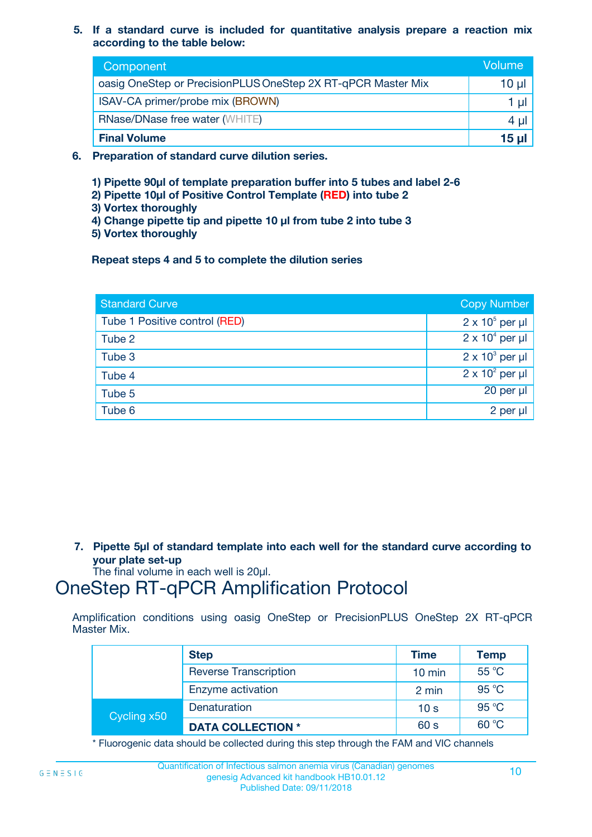**5. If a standard curve is included for quantitative analysis prepare a reaction mix according to the table below:**

| Component                                                    | Volume       |
|--------------------------------------------------------------|--------------|
| oasig OneStep or PrecisionPLUS OneStep 2X RT-qPCR Master Mix | $10 \mu$     |
| ISAV-CA primer/probe mix (BROWN)                             |              |
| <b>RNase/DNase free water (WHITE)</b>                        | 4 µ          |
| <b>Final Volume</b>                                          | <u>15 µl</u> |

- **6. Preparation of standard curve dilution series.**
	- **1) Pipette 90µl of template preparation buffer into 5 tubes and label 2-6**
	- **2) Pipette 10µl of Positive Control Template (RED) into tube 2**
	- **3) Vortex thoroughly**
	- **4) Change pipette tip and pipette 10 µl from tube 2 into tube 3**
	- **5) Vortex thoroughly**

**Repeat steps 4 and 5 to complete the dilution series**

| <b>Standard Curve</b>         | <b>Copy Number</b>     |
|-------------------------------|------------------------|
| Tube 1 Positive control (RED) | $2 \times 10^5$ per µl |
| Tube 2                        | $2 \times 10^4$ per µl |
| Tube 3                        | $2 \times 10^3$ per µl |
| Tube 4                        | $2 \times 10^2$ per µl |
| Tube 5                        | 20 per µl              |
| Tube 6                        | $2$ per $\mu$          |

**7. Pipette 5µl of standard template into each well for the standard curve according to your plate set-up**

The final volume in each well is 20µl.

# OneStep RT-qPCR Amplification Protocol

Amplification conditions using oasig OneStep or PrecisionPLUS OneStep 2X RT-qPCR Master Mix.

|             | <b>Step</b>                  | <b>Time</b>      | <b>Temp</b> |
|-------------|------------------------------|------------------|-------------|
|             | <b>Reverse Transcription</b> | $10 \text{ min}$ | 55 °C       |
|             | Enzyme activation            | 2 min            | 95 °C       |
| Cycling x50 | Denaturation                 | 10 <sub>s</sub>  | 95 °C       |
|             | <b>DATA COLLECTION *</b>     | 60 s             | 60 °C       |

\* Fluorogenic data should be collected during this step through the FAM and VIC channels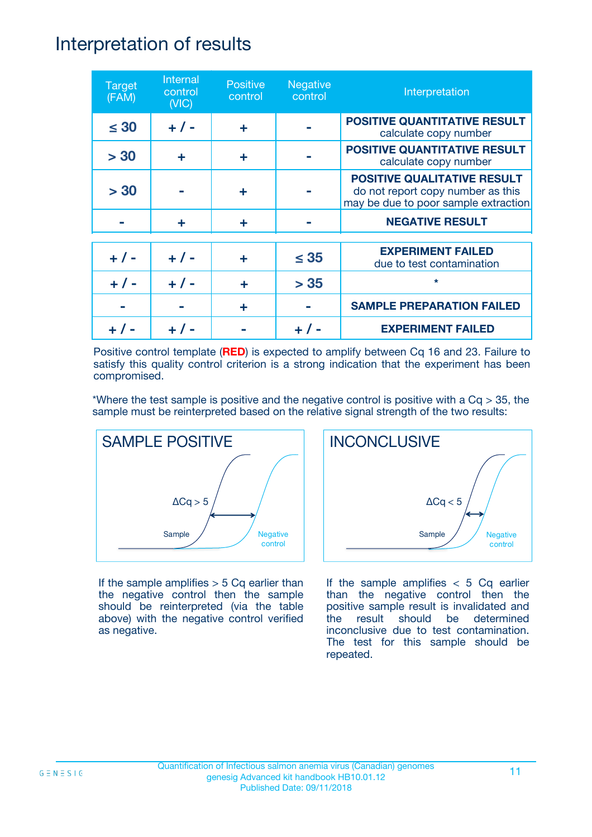### Interpretation of results

| <b>Target</b><br>(FAM) | Internal<br>control<br>(NIC) | <b>Positive</b><br>control | <b>Negative</b><br>control | Interpretation                                                                                                  |
|------------------------|------------------------------|----------------------------|----------------------------|-----------------------------------------------------------------------------------------------------------------|
| $\leq 30$              | $+ 1 -$                      | ÷                          |                            | <b>POSITIVE QUANTITATIVE RESULT</b><br>calculate copy number                                                    |
| > 30                   | ÷                            | ÷                          |                            | <b>POSITIVE QUANTITATIVE RESULT</b><br>calculate copy number                                                    |
| > 30                   |                              | ÷                          |                            | <b>POSITIVE QUALITATIVE RESULT</b><br>do not report copy number as this<br>may be due to poor sample extraction |
|                        | ÷                            | ÷                          |                            | <b>NEGATIVE RESULT</b>                                                                                          |
| $+ 1 -$                | $+ 1 -$                      | ÷                          | $\leq$ 35                  | <b>EXPERIMENT FAILED</b><br>due to test contamination                                                           |
| $+ 1 -$                | $+ 1 -$                      | ÷                          | > 35                       | $\star$                                                                                                         |
|                        |                              | ÷                          |                            | <b>SAMPLE PREPARATION FAILED</b>                                                                                |
|                        |                              |                            |                            | <b>EXPERIMENT FAILED</b>                                                                                        |

Positive control template (**RED**) is expected to amplify between Cq 16 and 23. Failure to satisfy this quality control criterion is a strong indication that the experiment has been compromised.

\*Where the test sample is positive and the negative control is positive with a  $Cq > 35$ , the sample must be reinterpreted based on the relative signal strength of the two results:



If the sample amplifies  $> 5$  Cq earlier than the negative control then the sample should be reinterpreted (via the table above) with the negative control verified as negative.



If the sample amplifies  $< 5$  Cq earlier than the negative control then the positive sample result is invalidated and the result should be determined inconclusive due to test contamination. The test for this sample should be repeated.